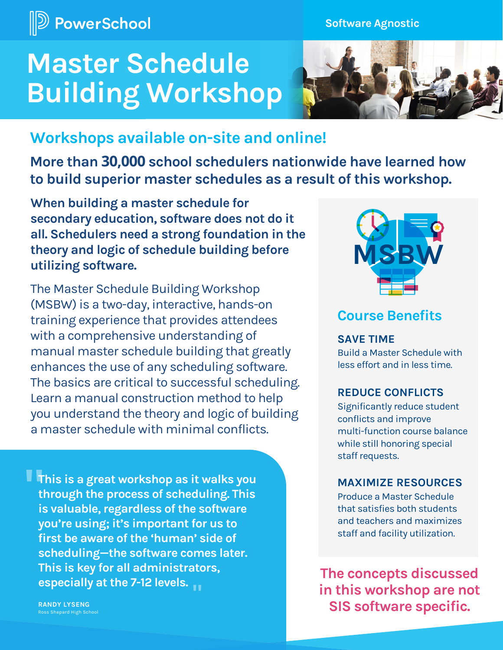

**Software Agnostic**

# **Master Schedule Building Workshop**



# **Workshops available on-site and online!**

**More than 30,000 school schedulers nationwide have learned how to build superior master schedules as a result of this workshop.**

**When building a master schedule for secondary education, software does not do it all. Schedulers need a strong foundation in the theory and logic of schedule building before utilizing software.** 

The Master Schedule Building Workshop (MSBW) is a two-day, interactive, hands-on training experience that provides attendees with a comprehensive understanding of manual master schedule building that greatly enhances the use of any scheduling software. The basics are critical to successful scheduling. Learn a manual construction method to help you understand the theory and logic of building a master schedule with minimal conflicts.

**This is a great workshop as it walks you through the process of scheduling. This is valuable, regardless of the software you're using; it's important for us to first be aware of the 'human' side of scheduling—the software comes later. This is key for all administrators, especially at the 7-12 levels. " "**

**RANDY LYSENG** Ross Shepard High School



# **Course Benefits**

#### **SAVE TIME**

Build a Master Schedule with less effort and in less time.

#### **REDUCE CONFLICTS**

Significantly reduce student conflicts and improve multi-function course balance while still honoring special staff requests.

#### **MAXIMIZE RESOURCES**

Produce a Master Schedule that satisfies both students and teachers and maximizes staff and facility utilization.

**The concepts discussed in this workshop are not SIS software specific.**